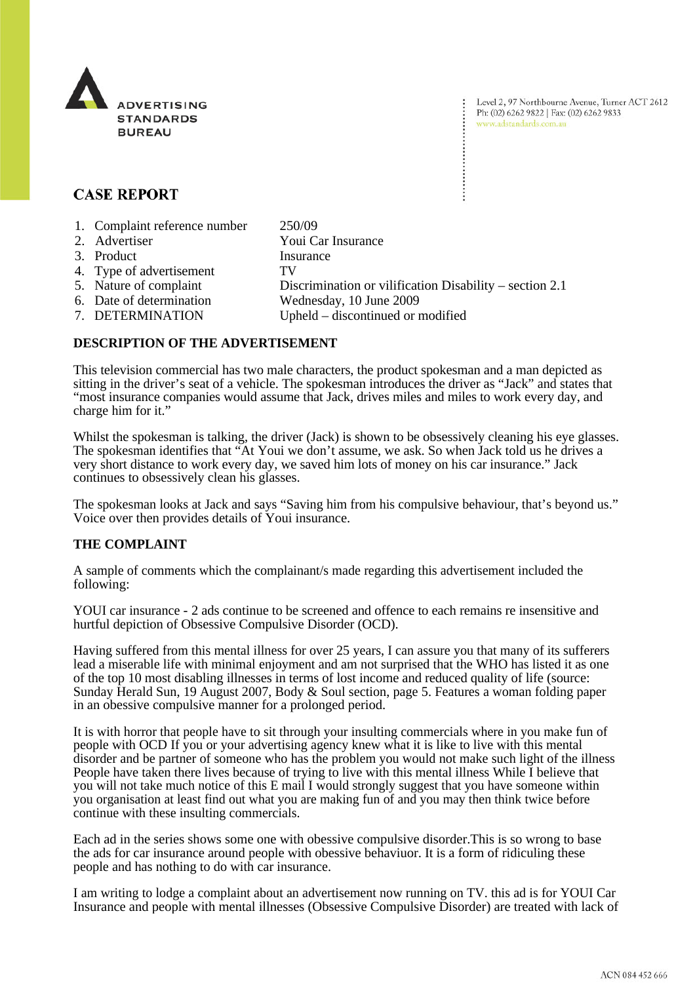

Level 2, 97 Northbourne Avenue, Turner ACT 2612 Ph: (02) 6262 9822 | Fax: (02) 6262 9833 www.adstandards.com.au

# **CASE REPORT**

- 1. Complaint reference number 250/09
- 2. Advertiser Youi Car Insurance 3. Product Insurance 4. Type of advertisement TV 5. Nature of complaint Discrimination or vilification Disability – section 2.1 6. Date of determination Wednesday, 10 June 2009
- 7. DETERMINATION Upheld discontinued or modified

## **DESCRIPTION OF THE ADVERTISEMENT**

This television commercial has two male characters, the product spokesman and a man depicted as sitting in the driver's seat of a vehicle. The spokesman introduces the driver as "Jack" and states that "most insurance companies would assume that Jack, drives miles and miles to work every day, and charge him for it."

Whilst the spokesman is talking, the driver (Jack) is shown to be obsessively cleaning his eye glasses. The spokesman identifies that "At Youi we don't assume, we ask. So when Jack told us he drives a very short distance to work every day, we saved him lots of money on his car insurance." Jack continues to obsessively clean his glasses.

The spokesman looks at Jack and says "Saving him from his compulsive behaviour, that's beyond us." Voice over then provides details of Youi insurance.

## **THE COMPLAINT**

A sample of comments which the complainant/s made regarding this advertisement included the following:

YOUI car insurance - 2 ads continue to be screened and offence to each remains re insensitive and hurtful depiction of Obsessive Compulsive Disorder (OCD).

Having suffered from this mental illness for over 25 years, I can assure you that many of its sufferers lead a miserable life with minimal enjoyment and am not surprised that the WHO has listed it as one of the top 10 most disabling illnesses in terms of lost income and reduced quality of life (source: Sunday Herald Sun, 19 August 2007, Body & Soul section, page 5. Features a woman folding paper in an obessive compulsive manner for a prolonged period.

It is with horror that people have to sit through your insulting commercials where in you make fun of people with OCD If you or your advertising agency knew what it is like to live with this mental disorder and be partner of someone who has the problem you would not make such light of the illness People have taken there lives because of trying to live with this mental illness While I believe that you will not take much notice of this E mail I would strongly suggest that you have someone within you organisation at least find out what you are making fun of and you may then think twice before continue with these insulting commercials.

Each ad in the series shows some one with obessive compulsive disorder.This is so wrong to base the ads for car insurance around people with obessive behaviuor. It is a form of ridiculing these people and has nothing to do with car insurance.

I am writing to lodge a complaint about an advertisement now running on TV. this ad is for YOUI Car Insurance and people with mental illnesses (Obsessive Compulsive Disorder) are treated with lack of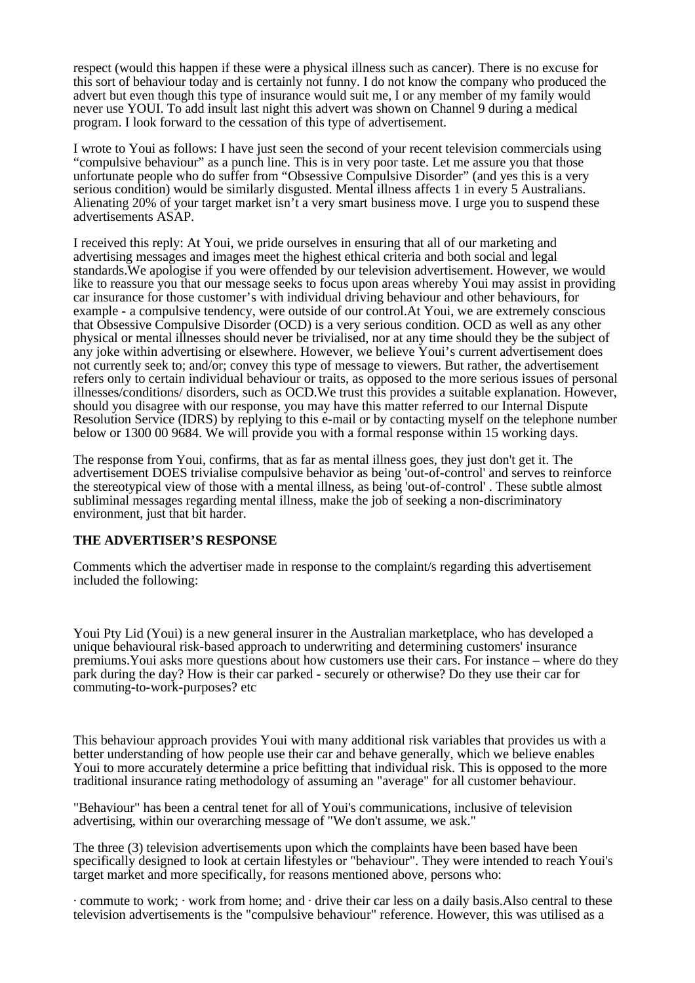respect (would this happen if these were a physical illness such as cancer). There is no excuse for this sort of behaviour today and is certainly not funny. I do not know the company who produced the advert but even though this type of insurance would suit me, I or any member of my family would never use YOUI. To add insult last night this advert was shown on Channel 9 during a medical program. I look forward to the cessation of this type of advertisement.

I wrote to Youi as follows: I have just seen the second of your recent television commercials using "compulsive behaviour" as a punch line. This is in very poor taste. Let me assure you that those unfortunate people who do suffer from "Obsessive Compulsive Disorder" (and yes this is a very serious condition) would be similarly disgusted. Mental illness affects 1 in every 5 Australians. Alienating 20% of your target market isn't a very smart business move. I urge you to suspend these advertisements ASAP.

I received this reply: At Youi, we pride ourselves in ensuring that all of our marketing and advertising messages and images meet the highest ethical criteria and both social and legal standards.We apologise if you were offended by our television advertisement. However, we would like to reassure you that our message seeks to focus upon areas whereby Youi may assist in providing car insurance for those customer's with individual driving behaviour and other behaviours, for example - a compulsive tendency, were outside of our control.At Youi, we are extremely conscious that Obsessive Compulsive Disorder (OCD) is a very serious condition. OCD as well as any other physical or mental illnesses should never be trivialised, nor at any time should they be the subject of any joke within advertising or elsewhere. However, we believe Youi's current advertisement does not currently seek to; and/or; convey this type of message to viewers. But rather, the advertisement refers only to certain individual behaviour or traits, as opposed to the more serious issues of personal illnesses/conditions/ disorders, such as OCD.We trust this provides a suitable explanation. However, should you disagree with our response, you may have this matter referred to our Internal Dispute Resolution Service (IDRS) by replying to this e-mail or by contacting myself on the telephone number below or 1300 00 9684. We will provide you with a formal response within 15 working days.

The response from Youi, confirms, that as far as mental illness goes, they just don't get it. The advertisement DOES trivialise compulsive behavior as being 'out-of-control' and serves to reinforce the stereotypical view of those with a mental illness, as being 'out-of-control' . These subtle almost subliminal messages regarding mental illness, make the job of seeking a non-discriminatory environment, just that bit harder.

### **THE ADVERTISER'S RESPONSE**

Comments which the advertiser made in response to the complaint/s regarding this advertisement included the following:

Youi Pty Lid (Youi) is a new general insurer in the Australian marketplace, who has developed a unique behavioural risk-based approach to underwriting and determining customers' insurance premiums.Youi asks more questions about how customers use their cars. For instance – where do they park during the day? How is their car parked - securely or otherwise? Do they use their car for commuting-to-work-purposes? etc

This behaviour approach provides Youi with many additional risk variables that provides us with a better understanding of how people use their car and behave generally, which we believe enables Youi to more accurately determine a price befitting that individual risk. This is opposed to the more traditional insurance rating methodology of assuming an "average" for all customer behaviour.

"Behaviour" has been a central tenet for all of Youi's communications, inclusive of television advertising, within our overarching message of "We don't assume, we ask."

The three (3) television advertisements upon which the complaints have been based have been specifically designed to look at certain lifestyles or "behaviour". They were intended to reach Youi's target market and more specifically, for reasons mentioned above, persons who:

· commute to work; · work from home; and · drive their car less on a daily basis.Also central to these television advertisements is the "compulsive behaviour" reference. However, this was utilised as a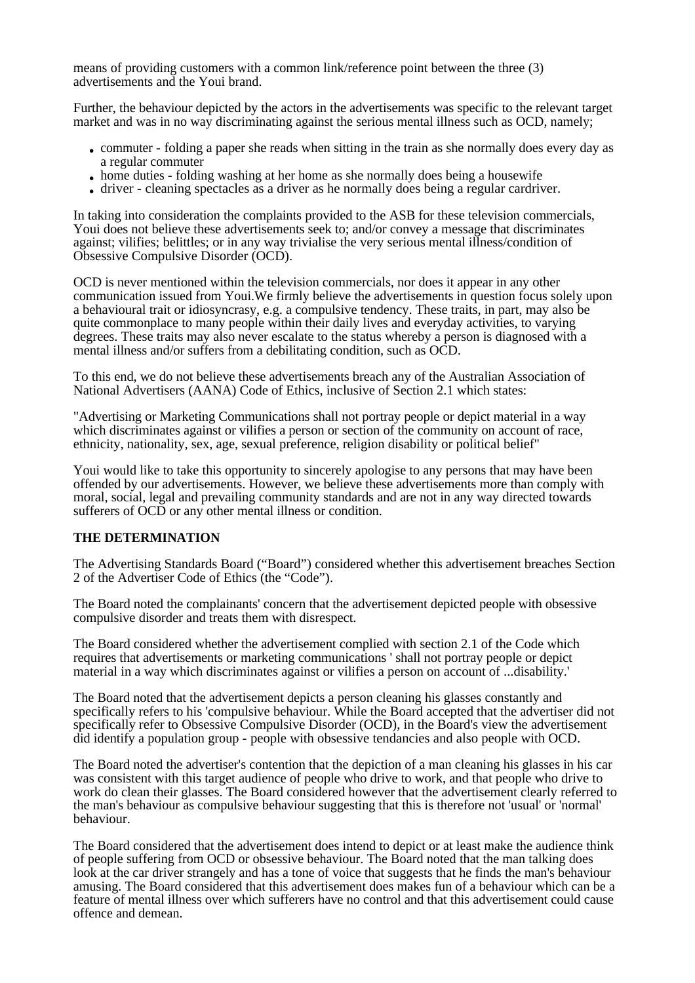means of providing customers with a common link/reference point between the three (3) advertisements and the Youi brand.

Further, the behaviour depicted by the actors in the advertisements was specific to the relevant target market and was in no way discriminating against the serious mental illness such as OCD, namely;

- commuter folding a paper she reads when sitting in the train as she normally does every day as a regular commuter
- home duties folding washing at her home as she normally does being a housewife
- driver cleaning spectacles as a driver as he normally does being a regular cardriver.

In taking into consideration the complaints provided to the ASB for these television commercials, Youi does not believe these advertisements seek to; and/or convey a message that discriminates against; vilifies; belittles; or in any way trivialise the very serious mental illness/condition of Obsessive Compulsive Disorder (OCD).

OCD is never mentioned within the television commercials, nor does it appear in any other communication issued from Youi.We firmly believe the advertisements in question focus solely upon a behavioural trait or idiosyncrasy, e.g. a compulsive tendency. These traits, in part, may also be quite commonplace to many people within their daily lives and everyday activities, to varying degrees. These traits may also never escalate to the status whereby a person is diagnosed with a mental illness and/or suffers from a debilitating condition, such as OCD.

To this end, we do not believe these advertisements breach any of the Australian Association of National Advertisers (AANA) Code of Ethics, inclusive of Section 2.1 which states:

"Advertising or Marketing Communications shall not portray people or depict material in a way which discriminates against or vilifies a person or section of the community on account of race, ethnicity, nationality, sex, age, sexual preference, religion disability or political belief"

Youi would like to take this opportunity to sincerely apologise to any persons that may have been offended by our advertisements. However, we believe these advertisements more than comply with moral, social, legal and prevailing community standards and are not in any way directed towards sufferers of OCD or any other mental illness or condition.

### **THE DETERMINATION**

The Advertising Standards Board ("Board") considered whether this advertisement breaches Section 2 of the Advertiser Code of Ethics (the "Code").

The Board noted the complainants' concern that the advertisement depicted people with obsessive compulsive disorder and treats them with disrespect.

The Board considered whether the advertisement complied with section 2.1 of the Code which requires that advertisements or marketing communications ' shall not portray people or depict material in a way which discriminates against or vilifies a person on account of ...disability.'

The Board noted that the advertisement depicts a person cleaning his glasses constantly and specifically refers to his 'compulsive behaviour. While the Board accepted that the advertiser did not specifically refer to Obsessive Compulsive Disorder (OCD), in the Board's view the advertisement did identify a population group - people with obsessive tendancies and also people with OCD.

The Board noted the advertiser's contention that the depiction of a man cleaning his glasses in his car was consistent with this target audience of people who drive to work, and that people who drive to work do clean their glasses. The Board considered however that the advertisement clearly referred to the man's behaviour as compulsive behaviour suggesting that this is therefore not 'usual' or 'normal' behaviour.

The Board considered that the advertisement does intend to depict or at least make the audience think of people suffering from OCD or obsessive behaviour. The Board noted that the man talking does look at the car driver strangely and has a tone of voice that suggests that he finds the man's behaviour amusing. The Board considered that this advertisement does makes fun of a behaviour which can be a feature of mental illness over which sufferers have no control and that this advertisement could cause offence and demean.